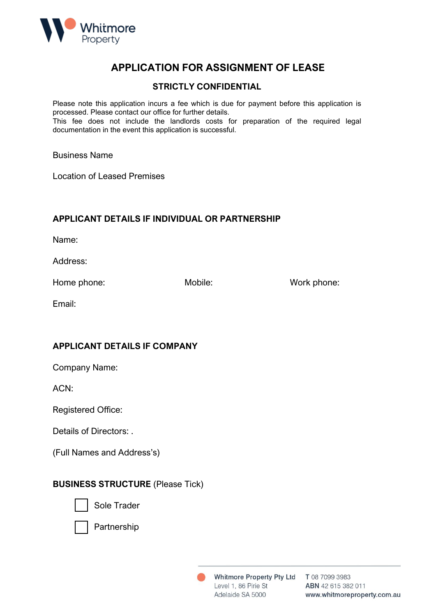

# **APPLICATION FOR ASSIGNMENT OF LEASE**

#### **STRICTLY CONFIDENTIAL**

Please note this application incurs a fee which is due for payment before this application is processed. Please contact our office for further details. This fee does not include the landlords costs for preparation of the required legal

documentation in the event this application is successful.

Business Name

Location of Leased Premises

#### **APPLICANT DETAILS IF INDIVIDUAL OR PARTNERSHIP**

Name:

Address:

Home phone: Mobile: Mobile: Work phone:

Email:

## **APPLICANT DETAILS IF COMPANY**

Company Name:

ACN:

Registered Office:

Details of Directors: .

(Full Names and Address's)

## **BUSINESS STRUCTURE** (Please Tick)



Sole Trader



Partnership

Level 1, 86 Pirie St Adelaide SA 5000

Whitmore Property Pty Ltd T 08 7099 3983 ABN 42 615 382 011 www.whitmoreproperty.com.au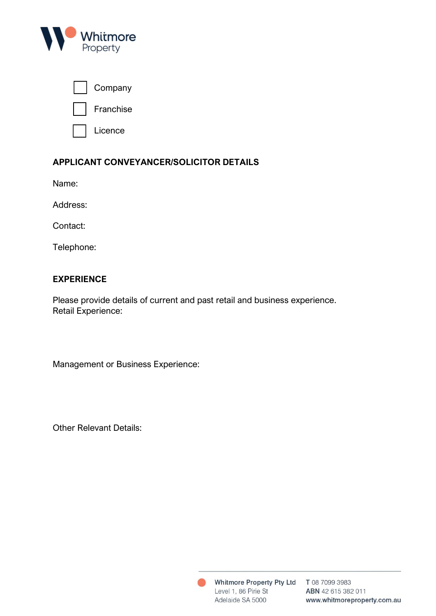

| Company   |
|-----------|
| Franchise |

Licence

# **APPLICANT CONVEYANCER/SOLICITOR DETAILS**

Name:

Address:

Contact:

Telephone:

## **EXPERIENCE**

Please provide details of current and past retail and business experience. Retail Experience:

Management or Business Experience:

Other Relevant Details:

Level 1, 86 Pirie St Adelaide SA 5000

Whitmore Property Pty Ltd T 08 7099 3983 ABN 42 615 382 011 www.whitmoreproperty.com.au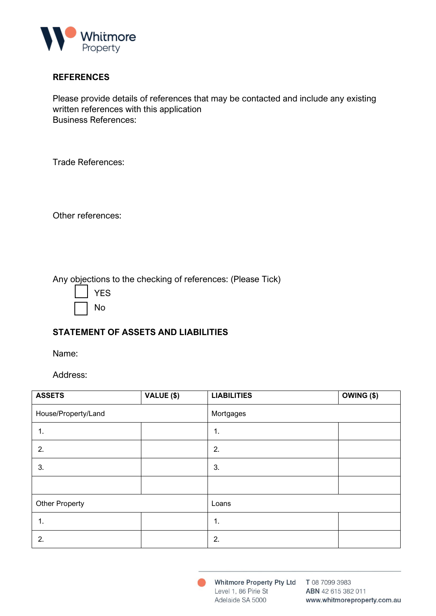

#### **REFERENCES**

Please provide details of references that may be contacted and include any existing written references with this application Business References:

Trade References:

Other references:

Any objections to the checking of references: (Please Tick)

| YES |
|-----|
| No  |

## **STATEMENT OF ASSETS AND LIABILITIES**

Name:

Address:

| <b>ASSETS</b>       | VALUE (\$) | <b>LIABILITIES</b> | $OWING($ \$) |  |
|---------------------|------------|--------------------|--------------|--|
| House/Property/Land |            | Mortgages          |              |  |
| 1.                  |            | 1.                 |              |  |
| 2.                  |            | 2.                 |              |  |
| 3.                  |            | 3.                 |              |  |
|                     |            |                    |              |  |
| Other Property      |            | Loans              |              |  |
| 1.                  |            | 1.                 |              |  |
| 2.                  |            | 2.                 |              |  |

Whitmore Property Pty Ltd T 08 7099 3983 Level 1, 86 Pirie St Adelaide SA 5000

ABN 42 615 382 011 www.whitmoreproperty.com.au